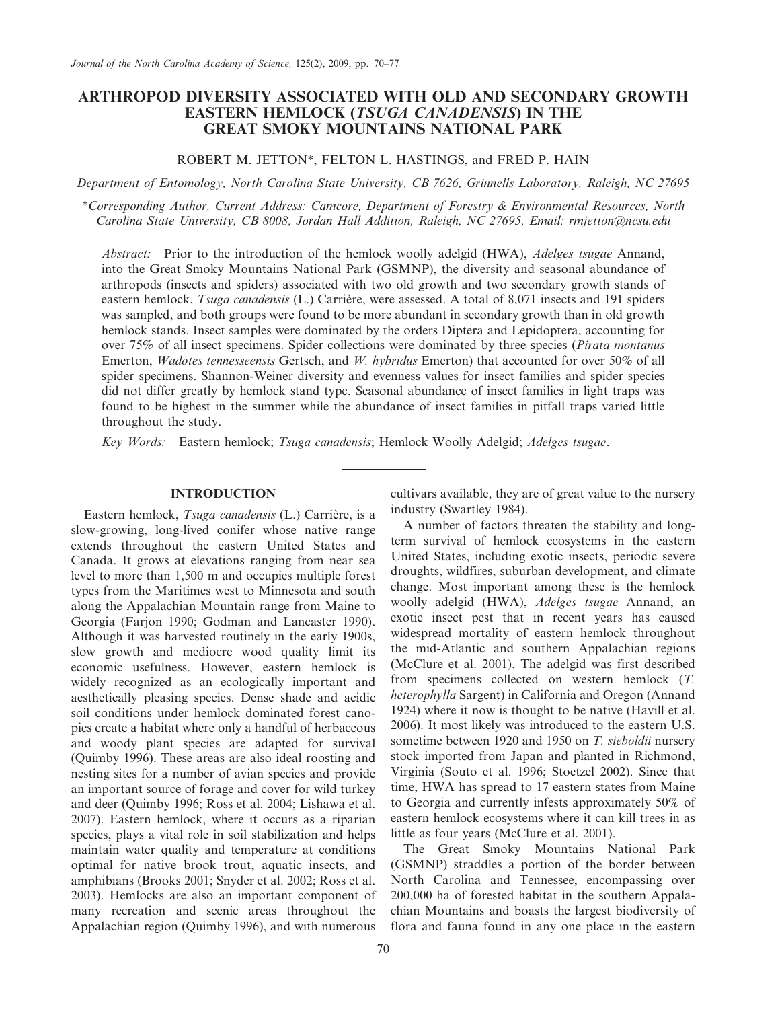# ARTHROPOD DIVERSITY ASSOCIATED WITH OLD AND SECONDARY GROWTH EASTERN HEMLOCK (TSUGA CANADENSIS) IN THE GREAT SMOKY MOUNTAINS NATIONAL PARK

# ROBERT M. JETTON\*, FELTON L. HASTINGS, and FRED P. HAIN

Department of Entomology, North Carolina State University, CB 7626, Grinnells Laboratory, Raleigh, NC 27695

\*Corresponding Author, Current Address: Camcore, Department of Forestry & Environmental Resources, North Carolina State University, CB 8008, Jordan Hall Addition, Raleigh, NC 27695, Email: rmjetton@ncsu.edu

Abstract: Prior to the introduction of the hemlock woolly adelgid (HWA), *Adelges tsugae* Annand, into the Great Smoky Mountains National Park (GSMNP), the diversity and seasonal abundance of arthropods (insects and spiders) associated with two old growth and two secondary growth stands of eastern hemlock, Tsuga canadensis (L.) Carrière, were assessed. A total of 8,071 insects and 191 spiders was sampled, and both groups were found to be more abundant in secondary growth than in old growth hemlock stands. Insect samples were dominated by the orders Diptera and Lepidoptera, accounting for over 75% of all insect specimens. Spider collections were dominated by three species (Pirata montanus Emerton, Wadotes tennesseensis Gertsch, and W. hybridus Emerton) that accounted for over 50% of all spider specimens. Shannon-Weiner diversity and evenness values for insect families and spider species did not differ greatly by hemlock stand type. Seasonal abundance of insect families in light traps was found to be highest in the summer while the abundance of insect families in pitfall traps varied little throughout the study.

Key Words: Eastern hemlock; Tsuga canadensis; Hemlock Woolly Adelgid; Adelges tsugae.

### INTRODUCTION

Eastern hemlock, Tsuga canadensis (L.) Carrière, is a slow-growing, long-lived conifer whose native range extends throughout the eastern United States and Canada. It grows at elevations ranging from near sea level to more than 1,500 m and occupies multiple forest types from the Maritimes west to Minnesota and south along the Appalachian Mountain range from Maine to Georgia (Farjon 1990; Godman and Lancaster 1990). Although it was harvested routinely in the early 1900s, slow growth and mediocre wood quality limit its economic usefulness. However, eastern hemlock is widely recognized as an ecologically important and aesthetically pleasing species. Dense shade and acidic soil conditions under hemlock dominated forest canopies create a habitat where only a handful of herbaceous and woody plant species are adapted for survival (Quimby 1996). These areas are also ideal roosting and nesting sites for a number of avian species and provide an important source of forage and cover for wild turkey and deer (Quimby 1996; Ross et al. 2004; Lishawa et al. 2007). Eastern hemlock, where it occurs as a riparian species, plays a vital role in soil stabilization and helps maintain water quality and temperature at conditions optimal for native brook trout, aquatic insects, and amphibians (Brooks 2001; Snyder et al. 2002; Ross et al. 2003). Hemlocks are also an important component of many recreation and scenic areas throughout the Appalachian region (Quimby 1996), and with numerous cultivars available, they are of great value to the nursery industry (Swartley 1984).

A number of factors threaten the stability and longterm survival of hemlock ecosystems in the eastern United States, including exotic insects, periodic severe droughts, wildfires, suburban development, and climate change. Most important among these is the hemlock woolly adelgid (HWA), Adelges tsugae Annand, an exotic insect pest that in recent years has caused widespread mortality of eastern hemlock throughout the mid-Atlantic and southern Appalachian regions (McClure et al. 2001). The adelgid was first described from specimens collected on western hemlock (T. heterophylla Sargent) in California and Oregon (Annand 1924) where it now is thought to be native (Havill et al. 2006). It most likely was introduced to the eastern U.S. sometime between 1920 and 1950 on T. sieboldii nursery stock imported from Japan and planted in Richmond, Virginia (Souto et al. 1996; Stoetzel 2002). Since that time, HWA has spread to 17 eastern states from Maine to Georgia and currently infests approximately 50% of eastern hemlock ecosystems where it can kill trees in as little as four years (McClure et al. 2001).

The Great Smoky Mountains National Park (GSMNP) straddles a portion of the border between North Carolina and Tennessee, encompassing over 200,000 ha of forested habitat in the southern Appalachian Mountains and boasts the largest biodiversity of flora and fauna found in any one place in the eastern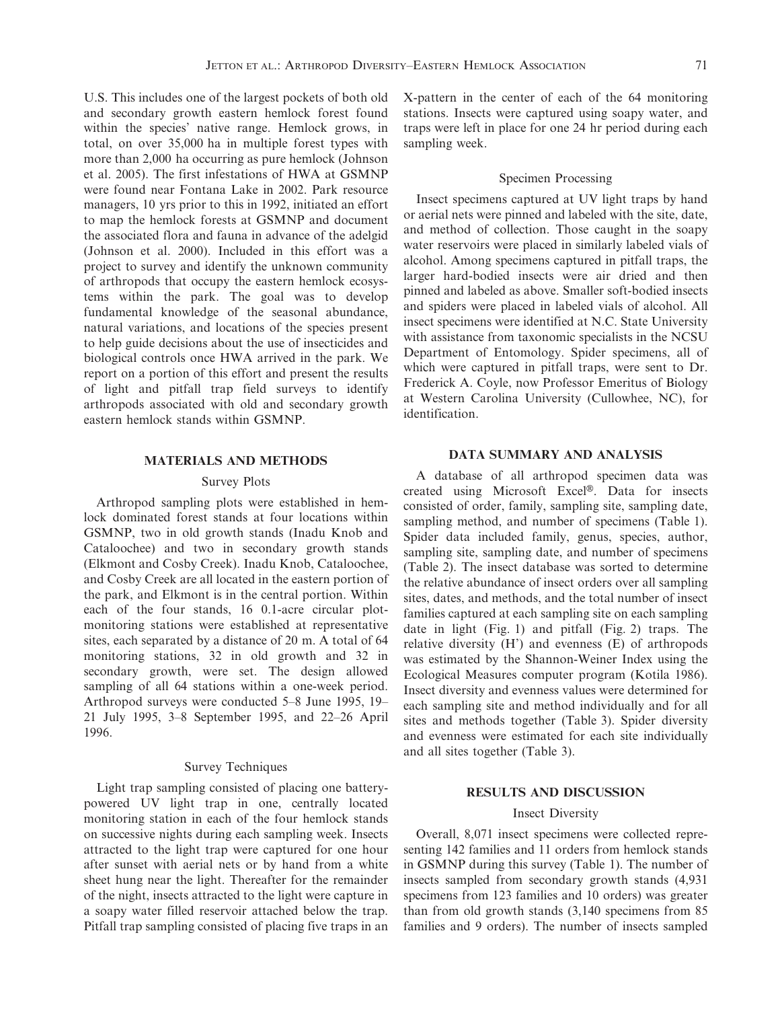U.S. This includes one of the largest pockets of both old and secondary growth eastern hemlock forest found within the species' native range. Hemlock grows, in total, on over 35,000 ha in multiple forest types with more than 2,000 ha occurring as pure hemlock (Johnson et al. 2005). The first infestations of HWA at GSMNP were found near Fontana Lake in 2002. Park resource managers, 10 yrs prior to this in 1992, initiated an effort to map the hemlock forests at GSMNP and document the associated flora and fauna in advance of the adelgid (Johnson et al. 2000). Included in this effort was a project to survey and identify the unknown community of arthropods that occupy the eastern hemlock ecosystems within the park. The goal was to develop fundamental knowledge of the seasonal abundance, natural variations, and locations of the species present to help guide decisions about the use of insecticides and biological controls once HWA arrived in the park. We report on a portion of this effort and present the results of light and pitfall trap field surveys to identify arthropods associated with old and secondary growth eastern hemlock stands within GSMNP.

### MATERIALS AND METHODS

#### Survey Plots

Arthropod sampling plots were established in hemlock dominated forest stands at four locations within GSMNP, two in old growth stands (Inadu Knob and Cataloochee) and two in secondary growth stands (Elkmont and Cosby Creek). Inadu Knob, Cataloochee, and Cosby Creek are all located in the eastern portion of the park, and Elkmont is in the central portion. Within each of the four stands, 16 0.1-acre circular plotmonitoring stations were established at representative sites, each separated by a distance of 20 m. A total of 64 monitoring stations, 32 in old growth and 32 in secondary growth, were set. The design allowed sampling of all 64 stations within a one-week period. Arthropod surveys were conducted 5–8 June 1995, 19– 21 July 1995, 3–8 September 1995, and 22–26 April 1996.

## Survey Techniques

Light trap sampling consisted of placing one batterypowered UV light trap in one, centrally located monitoring station in each of the four hemlock stands on successive nights during each sampling week. Insects attracted to the light trap were captured for one hour after sunset with aerial nets or by hand from a white sheet hung near the light. Thereafter for the remainder of the night, insects attracted to the light were capture in a soapy water filled reservoir attached below the trap. Pitfall trap sampling consisted of placing five traps in an X-pattern in the center of each of the 64 monitoring stations. Insects were captured using soapy water, and traps were left in place for one 24 hr period during each sampling week.

### Specimen Processing

Insect specimens captured at UV light traps by hand or aerial nets were pinned and labeled with the site, date, and method of collection. Those caught in the soapy water reservoirs were placed in similarly labeled vials of alcohol. Among specimens captured in pitfall traps, the larger hard-bodied insects were air dried and then pinned and labeled as above. Smaller soft-bodied insects and spiders were placed in labeled vials of alcohol. All insect specimens were identified at N.C. State University with assistance from taxonomic specialists in the NCSU Department of Entomology. Spider specimens, all of which were captured in pitfall traps, were sent to Dr. Frederick A. Coyle, now Professor Emeritus of Biology at Western Carolina University (Cullowhee, NC), for identification.

# DATA SUMMARY AND ANALYSIS

A database of all arthropod specimen data was created using Microsoft Excel®. Data for insects consisted of order, family, sampling site, sampling date, sampling method, and number of specimens (Table 1). Spider data included family, genus, species, author, sampling site, sampling date, and number of specimens (Table 2). The insect database was sorted to determine the relative abundance of insect orders over all sampling sites, dates, and methods, and the total number of insect families captured at each sampling site on each sampling date in light (Fig. 1) and pitfall (Fig. 2) traps. The relative diversity (H') and evenness (E) of arthropods was estimated by the Shannon-Weiner Index using the Ecological Measures computer program (Kotila 1986). Insect diversity and evenness values were determined for each sampling site and method individually and for all sites and methods together (Table 3). Spider diversity and evenness were estimated for each site individually and all sites together (Table 3).

### RESULTS AND DISCUSSION

## Insect Diversity

Overall, 8,071 insect specimens were collected representing 142 families and 11 orders from hemlock stands in GSMNP during this survey (Table 1). The number of insects sampled from secondary growth stands (4,931 specimens from 123 families and 10 orders) was greater than from old growth stands (3,140 specimens from 85 families and 9 orders). The number of insects sampled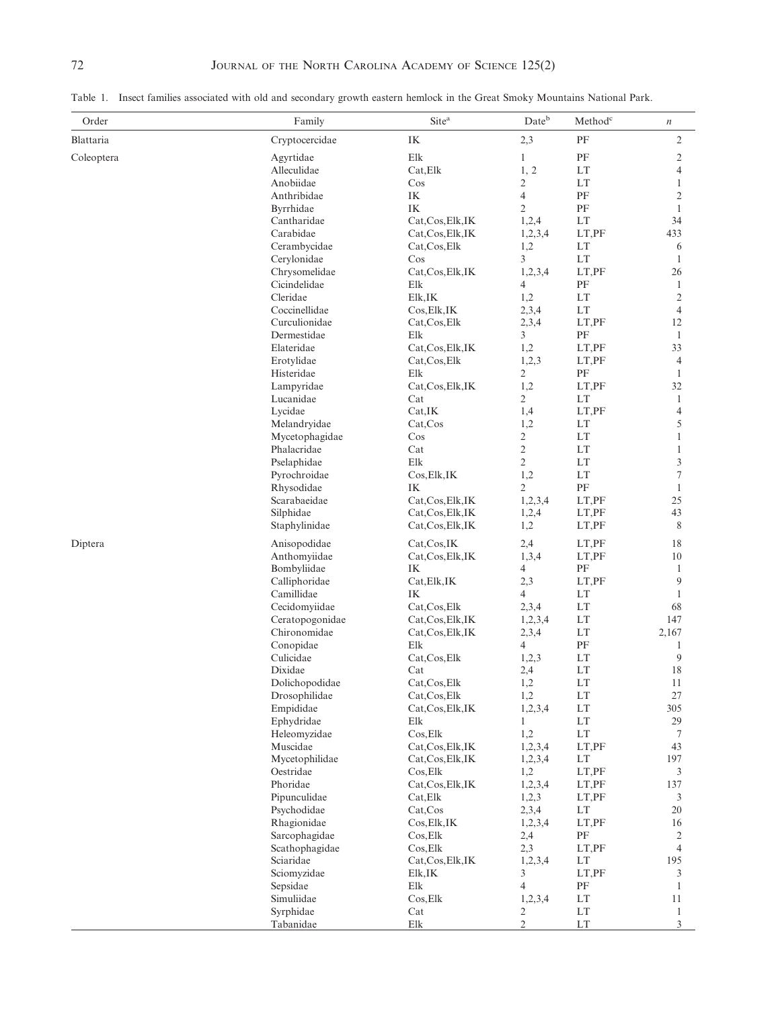Table 1. Insect families associated with old and secondary growth eastern hemlock in the Great Smoky Mountains National Park.

| Order      | Family                      | Site <sup>a</sup>        | $\mathrm{Date}^\mathrm{b}$ | $\mathbf{Method}^\mathbf{c}$         | $\boldsymbol{n}$     |
|------------|-----------------------------|--------------------------|----------------------------|--------------------------------------|----------------------|
| Blattaria  | Cryptocercidae              | IK                       | 2,3                        | PF                                   | $\overline{c}$       |
| Coleoptera | Agyrtidae                   | Elk                      | $\mathbf{1}$               | PF                                   | $\mathfrak{2}$       |
|            | Alleculidae                 | Cat, Elk                 | 1, 2                       | LT                                   | 4                    |
|            | Anobiidae                   | Cos                      | $\sqrt{2}$                 | LT                                   | 1                    |
|            | Anthribidae                 | IK                       | $\overline{4}$             | PF                                   | 2                    |
|            | Byrrhidae                   | IK                       | $\sqrt{2}$                 | PF                                   | 1                    |
|            | Cantharidae                 | Cat, Cos, Elk, IK        | 1,2,4                      | LT                                   | 34                   |
|            | Carabidae                   | Cat, Cos, Elk, IK        | 1,2,3,4                    | LT,PF                                | 433                  |
|            | Cerambycidae                | Cat, Cos, Elk            | 1,2                        | LT                                   | 6                    |
|            | Cerylonidae                 | $\cos$                   | $\overline{3}$             | LT                                   | 1                    |
|            | Chrysomelidae               | Cat, Cos, Elk, IK        | 1,2,3,4                    | LT,PF                                | 26                   |
|            | Cicindelidae                | Elk                      | 4                          | PF                                   | 1                    |
|            | Cleridae<br>Coccinellidae   | Elk,IK                   | 1,2                        | $\mathop{\rm LT}\nolimits$           | $\overline{c}$       |
|            | Curculionidae               | Cos, Elk, IK             | 2,3,4                      | LT                                   | $\overline{4}$<br>12 |
|            | Dermestidae                 | Cat, Cos, Elk<br>Elk     | 2,3,4<br>3                 | LT,PF<br>PF                          | $\mathbf{1}$         |
|            | Elateridae                  | Cat, Cos, Elk, IK        | 1,2                        | LT,PF                                | 33                   |
|            | Erotylidae                  | Cat, Cos, Elk            | 1,2,3                      | LT,PF                                | $\overline{4}$       |
|            | Histeridae                  | Elk                      | $\overline{2}$             | PF                                   | $\mathbf{1}$         |
|            | Lampyridae                  | Cat, Cos, Elk, IK        | 1,2                        | LT,PF                                | 32                   |
|            | Lucanidae                   | Cat                      | $\overline{2}$             | LT                                   | 1                    |
|            | Lycidae                     | Cat,IK                   | 1,4                        | LT,PF                                | 4                    |
|            | Melandryidae                | Cat, Cos                 | 1,2                        | LT                                   | 5                    |
|            | Mycetophagidae              | Cos                      | $\overline{c}$             | $\mathop{\rm LT}\nolimits$           | 1                    |
|            | Phalacridae                 | Cat                      | $\sqrt{2}$                 | LT                                   | $\mathbf{1}$         |
|            | Pselaphidae                 | Elk                      | $\sqrt{2}$                 | LT                                   | 3                    |
|            | Pyrochroidae                | Cos, Elk, IK             | 1,2                        | $\mathop{\rm LT}\nolimits$           | 7                    |
|            | Rhysodidae                  | IK                       | $\overline{2}$             | PF                                   | 1                    |
|            | Scarabaeidae                | Cat, Cos, Elk, IK        | 1,2,3,4                    | LT,PF                                | 25                   |
|            | Silphidae                   | Cat, Cos, Elk, IK        | 1,2,4                      | LT,PF                                | 43                   |
|            | Staphylinidae               | Cat, Cos, Elk, IK        | 1,2                        | LT,PF                                | 8                    |
| Diptera    | Anisopodidae                | Cat, Cos, IK             | 2,4                        | LT,PF                                | 18                   |
|            | Anthomyiidae                | Cat, Cos, Elk, IK        | 1,3,4                      | LT,PF                                | 10                   |
|            | Bombyliidae                 | IK                       | $\overline{4}$             | PF                                   | 1                    |
|            | Calliphoridae<br>Camillidae | Cat, Elk, IK             | 2,3<br>$\overline{4}$      | LT,PF                                | 9                    |
|            | Cecidomyiidae               | IK<br>Cat, Cos, Elk      | 2,3,4                      | LT<br>$\mathop{\rm LT}\nolimits$     | 1<br>68              |
|            | Ceratopogonidae             | Cat, Cos, Elk, IK        | 1,2,3,4                    | LT                                   | 147                  |
|            | Chironomidae                | Cat, Cos, Elk, IK        | 2,3,4                      | LT                                   | 2,167                |
|            | Conopidae                   | Elk                      | $\overline{4}$             | $\rm PF$                             | 1                    |
|            | Culicidae                   | Cat, Cos, Elk            | 1,2,3                      | LT                                   | 9                    |
|            | Dixidae                     | Cat                      | 2,4                        | LT                                   | 18                   |
|            | Dolichopodidae              | Cat, Cos, Elk            | 1,2                        | LT                                   | 11                   |
|            | Drosophilidae               | Cat, Cos, Elk            | 1,2                        | LT                                   | $27\,$               |
|            | Empididae                   | Cat, Cos, Elk, IK        | 1,2,3,4                    | $\mathop{\rm LT}\nolimits$           | 305                  |
|            | Ephydridae                  | Elk                      | $\mathbf{1}$               | $\mathop{\rm LT}\nolimits$           | 29                   |
|            | Heleomyzidae                | Cos, Elk                 | 1,2                        | LT                                   | 7                    |
|            | Muscidae                    | Cat, Cos, Elk, IK        | 1,2,3,4                    | LT,PF                                | 43                   |
|            | Mycetophilidae              | Cat, Cos, Elk, IK        | 1,2,3,4                    | LT                                   | 197                  |
|            | Oestridae                   | Cos, Elk                 | 1,2                        | LT,PF                                | 3                    |
|            | Phoridae                    | Cat, Cos, Elk, IK        | 1,2,3,4                    | LT,PF                                | 137                  |
|            | Pipunculidae                | Cat, Elk                 | 1,2,3                      | LT, PF<br>$\mathop{\rm LT}\nolimits$ | 3<br>20              |
|            | Psychodidae<br>Rhagionidae  | Cat, Cos<br>Cos, Elk, IK | 2,3,4<br>1,2,3,4           | LT,PF                                | 16                   |
|            | Sarcophagidae               | Cos, Elk                 | 2,4                        | PF                                   | 2                    |
|            | Scathophagidae              | $\cos$ <sub>Elk</sub>    | 2,3                        | LT,PF                                | $\overline{4}$       |
|            | Sciaridae                   | Cat, Cos, Elk, IK        | 1,2,3,4                    | LT                                   | 195                  |
|            | Sciomyzidae                 | Elk,IK                   | 3                          | LT,PF                                | 3                    |
|            | Sepsidae                    | Elk                      | $\overline{4}$             | $\rm PF$                             | $\mathbf{1}$         |
|            | Simuliidae                  | Cos, Elk                 | 1,2,3,4                    | LT                                   | 11                   |
|            | Syrphidae                   | Cat                      | 2                          | LT                                   | $\mathbf{1}$         |
|            | Tabanidae                   | ${\rm E}$ lk             | $\mathbf{2}$               | $\mathop{\rm LT}\nolimits$           | 3                    |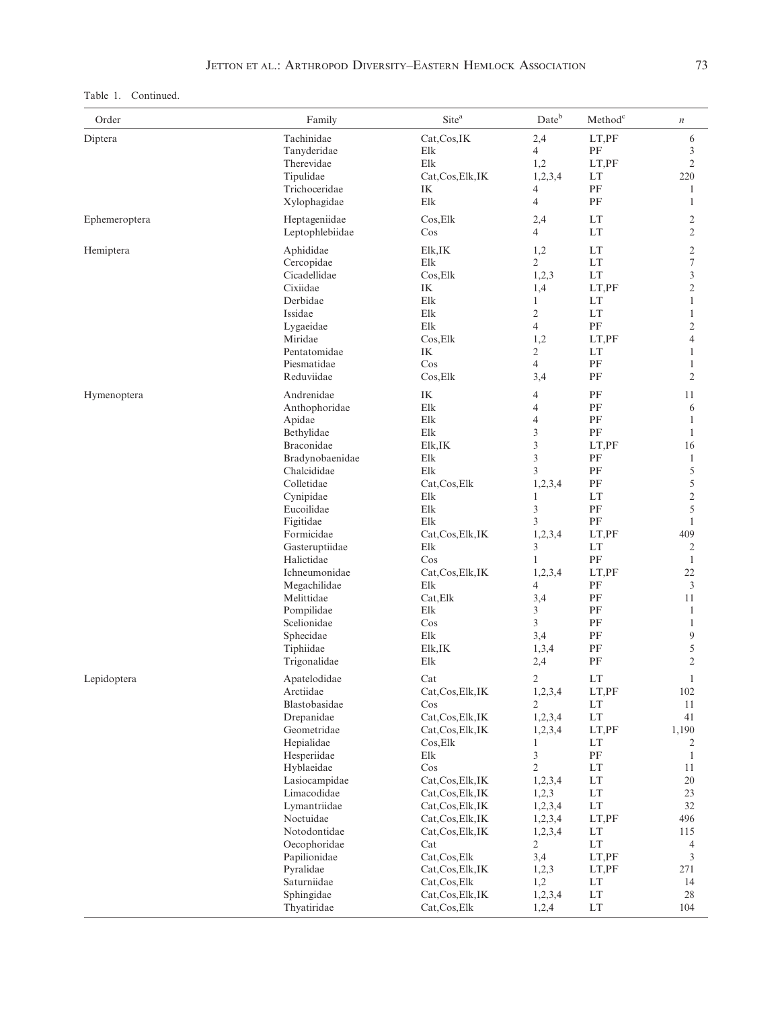Table 1. Continued.

| Order         | Family                      | Site <sup>a</sup>                      | Dateb            | $\mathbf{Method}^\mathbf{c}$     | $\,$ $\,$           |
|---------------|-----------------------------|----------------------------------------|------------------|----------------------------------|---------------------|
| Diptera       | Tachinidae                  | Cat, Cos, IK                           | 2,4              | LT,PF                            | 6                   |
|               | Tanyderidae                 | Elk                                    | $\overline{4}$   | PF                               | 3                   |
|               | Therevidae                  | Elk                                    | 1,2              | LT,PF                            | $\overline{2}$      |
|               | Tipulidae                   | Cat, Cos, Elk, IK                      | 1,2,3,4          | LT                               | 220                 |
|               | Trichoceridae               | IK                                     | 4                | PF                               | $\mathbf{1}$        |
|               | Xylophagidae                | Elk                                    | $\overline{4}$   | PF                               | $\mathbf{1}$        |
| Ephemeroptera | Heptageniidae               | Cos, Elk                               | 2,4              | LT                               | $\overline{2}$      |
|               | Leptophlebiidae             | Cos                                    | $\overline{4}$   | LT                               | $\overline{c}$      |
| Hemiptera     | Aphididae                   | Elk,IK                                 | 1,2              | $\mathop{\rm LT}\nolimits$       | $\mathfrak{2}$      |
|               | Cercopidae                  | Elk                                    | $\overline{2}$   | $\mathop{\rm LT}\nolimits$       | $\tau$              |
|               | Cicadellidae                | Cos, Elk                               | 1,2,3            | LT                               | 3                   |
|               | Cixiidae                    | IK                                     | 1,4              | LT,PF                            | $\mathfrak{2}$      |
|               | Derbidae                    | Elk                                    | $\mathbf{1}$     | LT                               | $\mathbf{1}$        |
|               | Issidae                     | Elk                                    | $\overline{2}$   | LT                               | $\mathbf{1}$        |
|               | Lygaeidae                   | Elk                                    | $\overline{4}$   | PF                               | $\mathfrak{2}$      |
|               | Miridae                     | Cos, Elk                               | 1,2              | LT,PF                            | 4                   |
|               | Pentatomidae                | IK                                     | $\overline{2}$   | LT                               | $\mathbf{1}$        |
|               | Piesmatidae                 | $\cos$                                 | $\overline{4}$   | PF                               | 1                   |
|               | Reduviidae                  | Cos, Elk                               | 3,4              | PF                               | $\mathfrak{2}$      |
| Hymenoptera   | Andrenidae                  | IK                                     | 4                | PF                               | 11                  |
|               | Anthophoridae               | Elk                                    | 4                | PF                               | 6                   |
|               | Apidae                      | Elk                                    | $\overline{4}$   | PF                               | $\mathbf{1}$        |
|               | Bethylidae                  | Elk                                    | 3                | PF                               | $\mathbf{1}$        |
|               | Braconidae                  | Elk,IK                                 | $\mathfrak{Z}$   | LT,PF                            | 16                  |
|               | Bradynobaenidae             | Elk                                    | 3                | PF                               | $\mathbf{1}$        |
|               | Chalcididae                 | Elk                                    | 3                | PF                               | 5                   |
|               | Colletidae                  | Cat, Cos, Elk                          | 1,2,3,4          | PF                               | 5                   |
|               | Cynipidae                   | Elk<br>Elk                             | 1<br>3           | LT<br>$\rm PF$                   | $\mathfrak{2}$<br>5 |
|               | Eucoilidae<br>Figitidae     | Elk                                    | 3                | PF                               | $\mathbf{1}$        |
|               | Formicidae                  | Cat, Cos, Elk, IK                      | 1,2,3,4          | LT,PF                            | 409                 |
|               | Gasteruptiidae              | Elk                                    | 3                | $\mathop{\rm LT}\nolimits$       | $\overline{c}$      |
|               | Halictidae                  | Cos                                    | $\mathbf{1}$     | PF                               | $\mathbf{1}$        |
|               | Ichneumonidae               | Cat, Cos, Elk, IK                      | 1,2,3,4          | LT,PF                            | $22\,$              |
|               | Megachilidae                | Elk                                    | 4                | PF                               | 3                   |
|               | Melittidae                  | Cat, Elk                               | 3,4              | PF                               | 11                  |
|               | Pompilidae                  | Elk                                    | 3                | PF                               | $\mathbf{1}$        |
|               | Scelionidae                 | Cos                                    | 3                | PF                               | $\mathbf{1}$        |
|               | Sphecidae                   | Elk                                    | 3,4              | PF                               | 9                   |
|               | Tiphiidae                   | Elk,IK                                 | 1,3,4            | PF                               | 5                   |
|               | Trigonalidae                | Elk                                    | 2,4              | PF                               | $\overline{2}$      |
| Lepidoptera   | Apatelodidae                | Cat                                    | $\overline{2}$   | $\mathop{\rm LT}\nolimits$       | $\mathbf{1}$        |
|               | Arctiidae                   | Cat, Cos, Elk, IK                      | 1,2,3,4          | LT,PF                            | 102                 |
|               | Blastobasidae               | $\cos$                                 | $\overline{2}$   | $\mathop{\rm LT}\nolimits$       | 11                  |
|               | Drepanidae                  | Cat, Cos, Elk, IK                      | 1,2,3,4          | $\mathop{\rm LT}\nolimits$       | 41                  |
|               | Geometridae                 | Cat, Cos, Elk, IK                      | 1,2,3,4          | LT,PF                            | 1,190               |
|               | Hepialidae                  | Cos, Elk                               | $\mathbf{1}$     | LT                               | 2                   |
|               | Hesperiidae                 | Elk                                    | 3                | $\rm PF$                         | 1                   |
|               | Hyblaeidae<br>Lasiocampidae | Cos<br>Cat, Cos, Elk, IK               | $\mathbf{2}$     | LT<br>$\mathop{\rm LT}\nolimits$ | 11<br>20            |
|               | Limacodidae                 |                                        | 1,2,3,4          | LT                               | 23                  |
|               | Lymantriidae                | Cat, Cos, Elk, IK<br>Cat, Cos, Elk, IK | 1,2,3<br>1,2,3,4 | LT                               | 32                  |
|               | Noctuidae                   | Cat, Cos, Elk, IK                      | 1,2,3,4          | LT,PF                            | 496                 |
|               | Notodontidae                | Cat, Cos, Elk, IK                      | 1,2,3,4          | LT                               | 115                 |
|               | Oecophoridae                | Cat                                    | 2                | LT                               | $\overline{4}$      |
|               | Papilionidae                | Cat, Cos, Elk                          | 3,4              | LT,PF                            | $\mathfrak{Z}$      |
|               | Pyralidae                   | Cat, Cos, Elk, IK                      | 1,2,3            | LT, PF                           | 271                 |
|               | Saturniidae                 | Cat, Cos, Elk                          | 1,2              | $\mathop{\rm LT}\nolimits$       | 14                  |
|               | Sphingidae                  | Cat, Cos, Elk, IK                      | 1,2,3,4          | $\mathop{\rm LT}\nolimits$       | 28                  |
|               | Thyatiridae                 | Cat, Cos, Elk                          | 1,2,4            | LT                               | 104                 |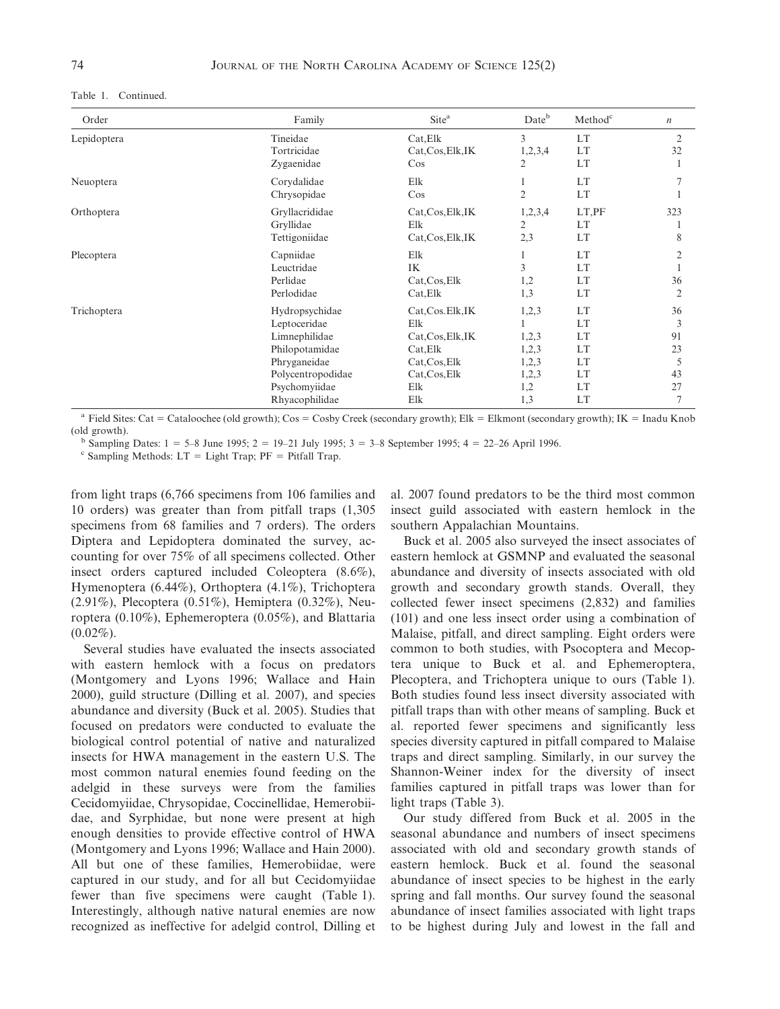| Order       | Family                                                                                                                                    | Site <sup>a</sup>                                                                                         | Dateb                                                   | Method <sup>c</sup>                                        | $\boldsymbol{n}$                     |
|-------------|-------------------------------------------------------------------------------------------------------------------------------------------|-----------------------------------------------------------------------------------------------------------|---------------------------------------------------------|------------------------------------------------------------|--------------------------------------|
| Lepidoptera | Tineidae<br>Tortricidae<br>Zygaenidae                                                                                                     | Cat, Elk<br>Cat, Cos, Elk, IK<br>$\cos$                                                                   | 3<br>1,2,3,4<br>2                                       | <b>LT</b><br><b>LT</b><br><b>LT</b>                        | 2<br>32                              |
| Neuoptera   | Corydalidae<br>Chrysopidae                                                                                                                | Elk<br>$\cos$                                                                                             | $\overline{2}$                                          | LT<br>LT                                                   |                                      |
| Orthoptera  | Gryllacrididae<br>Gryllidae<br>Tettigoniidae                                                                                              | Cat, Cos, Elk, IK<br>Elk<br>Cat, Cos, Elk, IK                                                             | 1,2,3,4<br>$\overline{2}$<br>2,3                        | LT,PF<br>LT<br><b>LT</b>                                   | 323<br>8                             |
| Plecoptera  | Capniidae<br>Leuctridae<br>Perlidae<br>Perlodidae                                                                                         | Elk<br>IK<br>Cat, Cos, Elk<br>Cat, Elk                                                                    | 1<br>3<br>1,2<br>1,3                                    | LT<br>LT<br>LT<br>LT                                       | 2<br>36<br>$\overline{2}$            |
| Trichoptera | Hydropsychidae<br>Leptoceridae<br>Limnephilidae<br>Philopotamidae<br>Phryganeidae<br>Polycentropodidae<br>Psychomyiidae<br>Rhyacophilidae | Cat, Cos. Elk, IK<br>Elk<br>Cat, Cos, Elk, IK<br>Cat, Elk<br>Cat, Cos, Elk<br>Cat, Cos, Elk<br>Elk<br>Elk | 1,2,3<br>1,2,3<br>1,2,3<br>1,2,3<br>1,2,3<br>1,2<br>1,3 | LT<br><b>LT</b><br><b>LT</b><br>LT<br>LT<br>LT<br>LT<br>LT | 36<br>3<br>91<br>23<br>5<br>43<br>27 |

<sup>a</sup> Field Sites: Cat = Cataloochee (old growth); Cos = Cosby Creek (secondary growth); Elk = Elkmont (secondary growth); IK = Inadu Knob (old growth).

<sup>b</sup> Sampling Dates: 1 = 5–8 June 1995; 2 = 19–21 July 1995; 3 = 3–8 September 1995; 4 = 22–26 April 1996. <sup>c</sup> Sampling Methods: LT = Light Trap; PF = Pitfall Trap.

from light traps (6,766 specimens from 106 families and 10 orders) was greater than from pitfall traps (1,305 specimens from 68 families and 7 orders). The orders Diptera and Lepidoptera dominated the survey, accounting for over 75% of all specimens collected. Other insect orders captured included Coleoptera (8.6%), Hymenoptera (6.44%), Orthoptera (4.1%), Trichoptera (2.91%), Plecoptera (0.51%), Hemiptera (0.32%), Neuroptera (0.10%), Ephemeroptera (0.05%), and Blattaria  $(0.02\%)$ .

Several studies have evaluated the insects associated with eastern hemlock with a focus on predators (Montgomery and Lyons 1996; Wallace and Hain 2000), guild structure (Dilling et al. 2007), and species abundance and diversity (Buck et al. 2005). Studies that focused on predators were conducted to evaluate the biological control potential of native and naturalized insects for HWA management in the eastern U.S. The most common natural enemies found feeding on the adelgid in these surveys were from the families Cecidomyiidae, Chrysopidae, Coccinellidae, Hemerobiidae, and Syrphidae, but none were present at high enough densities to provide effective control of HWA (Montgomery and Lyons 1996; Wallace and Hain 2000). All but one of these families, Hemerobiidae, were captured in our study, and for all but Cecidomyiidae fewer than five specimens were caught (Table 1). Interestingly, although native natural enemies are now recognized as ineffective for adelgid control, Dilling et al. 2007 found predators to be the third most common insect guild associated with eastern hemlock in the southern Appalachian Mountains.

Buck et al. 2005 also surveyed the insect associates of eastern hemlock at GSMNP and evaluated the seasonal abundance and diversity of insects associated with old growth and secondary growth stands. Overall, they collected fewer insect specimens (2,832) and families (101) and one less insect order using a combination of Malaise, pitfall, and direct sampling. Eight orders were common to both studies, with Psocoptera and Mecoptera unique to Buck et al. and Ephemeroptera, Plecoptera, and Trichoptera unique to ours (Table 1). Both studies found less insect diversity associated with pitfall traps than with other means of sampling. Buck et al. reported fewer specimens and significantly less species diversity captured in pitfall compared to Malaise traps and direct sampling. Similarly, in our survey the Shannon-Weiner index for the diversity of insect families captured in pitfall traps was lower than for light traps (Table 3).

Our study differed from Buck et al. 2005 in the seasonal abundance and numbers of insect specimens associated with old and secondary growth stands of eastern hemlock. Buck et al. found the seasonal abundance of insect species to be highest in the early spring and fall months. Our survey found the seasonal abundance of insect families associated with light traps to be highest during July and lowest in the fall and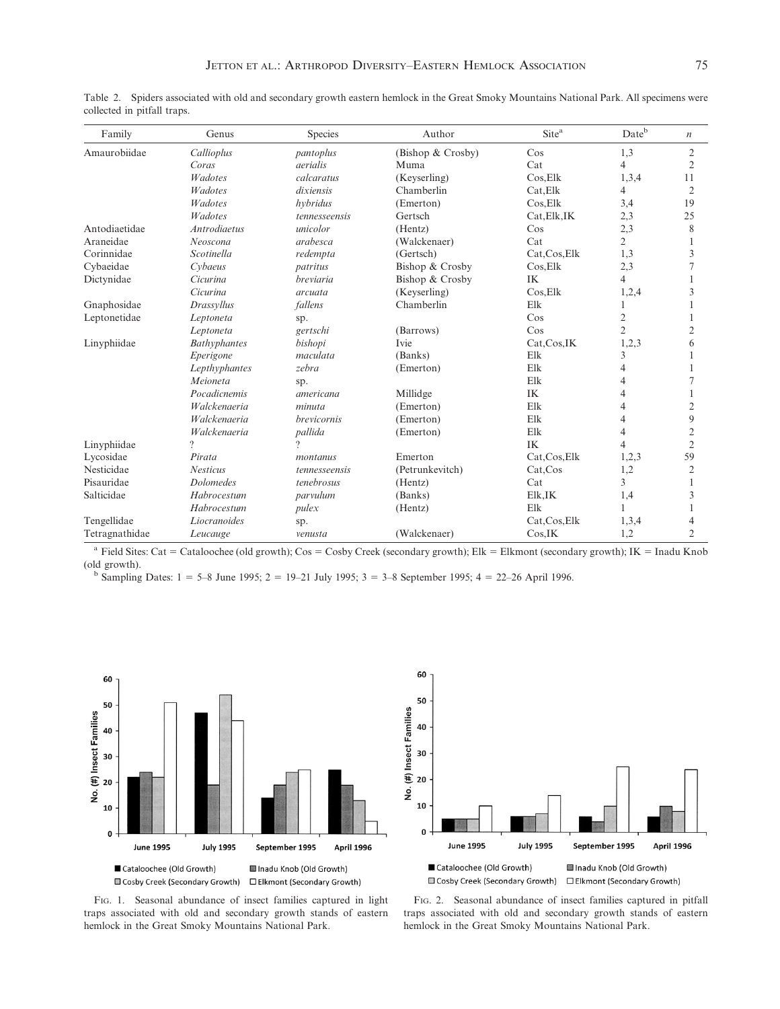| Family         | Genus               | Species            | Author            | Site <sup>a</sup> | Dateb          | $\boldsymbol{n}$ |
|----------------|---------------------|--------------------|-------------------|-------------------|----------------|------------------|
| Amaurobiidae   | Callioplus          | pantoplus          | (Bishop & Crosby) | $\cos$            | 1,3            | $\overline{2}$   |
|                | Coras               | aerialis           | Muma              | Cat               | 4              | $\overline{2}$   |
|                | <b>Wadotes</b>      | calcaratus         | (Keyserling)      | Cos, Elk          | 1,3,4          | 11               |
|                | <b>Wadotes</b>      | dixiensis          | Chamberlin        | Cat, Elk          | 4              | $\overline{2}$   |
|                | <b>Wadotes</b>      | hybridus           | (Emerton)         | Cos, Elk          | 3,4            | 19               |
|                | <b>Wadotes</b>      | tennesseensis      | Gertsch           | Cat, Elk, IK      | 2,3            | 25               |
| Antodiaetidae  | <b>Antrodiaetus</b> | unicolor           | (Hentz)           | $\cos$            | 2,3            | 8                |
| Araneidae      | Neoscona            | arabesca           | (Walckenaer)      | Cat               | $\overline{2}$ |                  |
| Corinnidae     | <b>Scotinella</b>   | redempta           | (Gertsch)         | Cat, Cos, Elk     | 1,3            | 3                |
| Cybaeidae      | Cybaeus             | patritus           | Bishop & Crosby   | Cos, Elk          | 2,3            |                  |
| Dictynidae     | Cicurina            | <i>breviaria</i>   | Bishop & Crosby   | IK                | $\overline{4}$ |                  |
|                | Cicurina            | arcuata            | (Keyserling)      | Cos, Elk          | 1,2,4          | 3                |
| Gnaphosidae    | Drassyllus          | fallens            | Chamberlin        | Elk               |                |                  |
| Leptonetidae   | Leptoneta           | sp.                |                   | $\cos$            | 2              |                  |
|                | Leptoneta           | gertschi           | (Barrows)         | $\cos$            | $\overline{2}$ | 2                |
| Linyphiidae    | <b>Bathyphantes</b> | bishopi            | Ivie              | Cat, Cos, IK      | 1,2,3          | 6                |
|                | Eperigone           | maculata           | (Banks)           | Elk               | 3              |                  |
|                | Lepthyphantes       | zebra              | (Emerton)         | Elk               | 4              |                  |
|                | Meioneta            | sp.                |                   | Elk               | 4              |                  |
|                | Pocadicnemis        | americana          | Millidge          | IK                |                |                  |
|                | Walckenaeria        | minuta             | (Emerton)         | Elk               |                | $\overline{c}$   |
|                | Walckenaeria        | <i>brevicornis</i> | (Emerton)         | Elk               |                | 9                |
|                | Walckenaeria        | pallida            | (Emerton)         | Elk               | 4              | $\overline{c}$   |
| Linyphiidae    | $\gamma$            | $\gamma$           |                   | IK                |                | $\overline{2}$   |
| Lycosidae      | Pirata              | montanus           | Emerton           | Cat, Cos, Elk     | 1,2,3          | 59               |
| Nesticidae     | <b>Nesticus</b>     | tennesseensis      | (Petrunkevitch)   | Cat, Cos          | 1,2            | $\overline{2}$   |
| Pisauridae     | <b>Dolomedes</b>    | tenebrosus         | (Hentz)           | Cat               | $\overline{3}$ |                  |
| Salticidae     | Habrocestum         | parvulum           | (Banks)           | Elk, IK           | 1,4            | 3                |
|                | Habrocestum         | pulex              | (Hentz)           | Elk               |                |                  |
| Tengellidae    | Liocranoides        | sp.                |                   | Cat, Cos, Elk     | 1,3,4          | 4                |
| Tetragnathidae | Leucauge            | venusta            | (Walckenaer)      | Cos.IK            | 1,2            | 2                |

Table 2. Spiders associated with old and secondary growth eastern hemlock in the Great Smoky Mountains National Park. All specimens were collected in pitfall traps.

<sup>a</sup> Field Sites: Cat = Cataloochee (old growth); Cos = Cosby Creek (secondary growth); Elk = Elkmont (secondary growth); IK = Inadu Knob (old growth). b Sampling Dates:  $1 = 5-8$  June 1995;  $2 = 19-21$  July 1995;  $3 = 3-8$  September 1995;  $4 = 22-26$  April 1996.





FIG. 1. Seasonal abundance of insect families captured in light traps associated with old and secondary growth stands of eastern hemlock in the Great Smoky Mountains National Park.

FIG. 2. Seasonal abundance of insect families captured in pitfall traps associated with old and secondary growth stands of eastern hemlock in the Great Smoky Mountains National Park.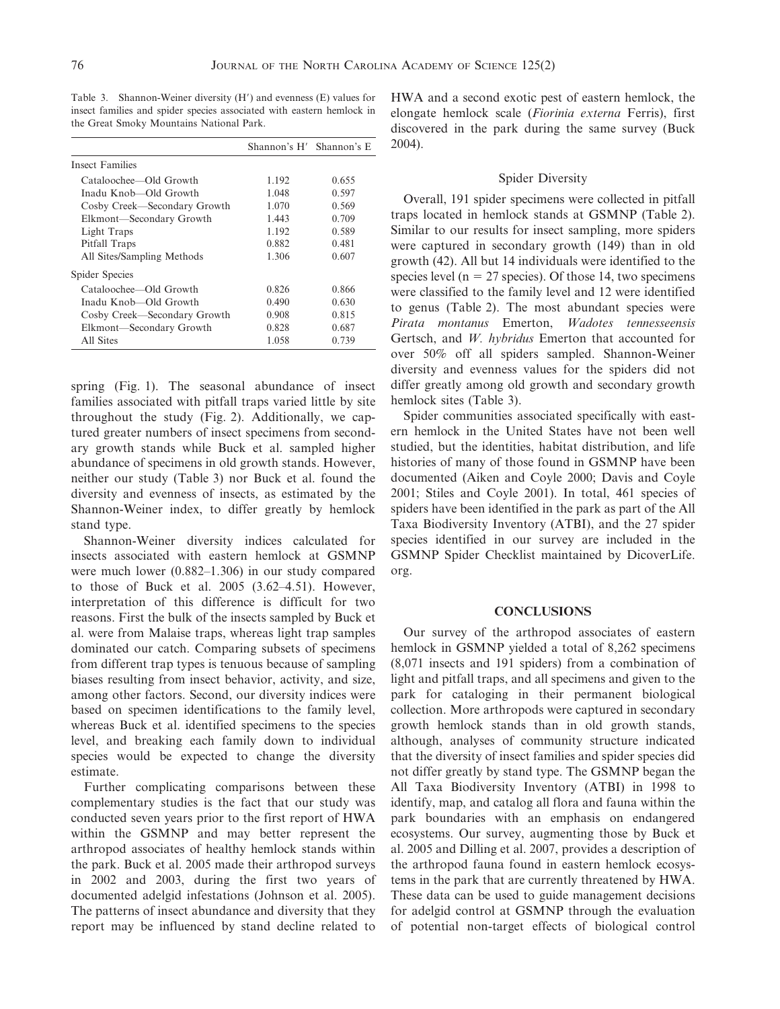Table 3. Shannon-Weiner diversity  $(H')$  and evenness  $(E)$  values for insect families and spider species associated with eastern hemlock in the Great Smoky Mountains National Park.

|                              | Shannon's H' Shannon's E |       |
|------------------------------|--------------------------|-------|
| Insect Families              |                          |       |
| Cataloochee—Old Growth       | 1.192                    | 0.655 |
| Inadu Knob—Old Growth        | 1.048                    | 0.597 |
| Cosby Creek—Secondary Growth | 1.070                    | 0.569 |
| Elkmont-Secondary Growth     | 1.443                    | 0.709 |
| Light Traps                  | 1.192                    | 0.589 |
| Pitfall Traps                | 0.882                    | 0.481 |
| All Sites/Sampling Methods   | 1.306                    | 0.607 |
| Spider Species               |                          |       |
| Cataloochee—Old Growth       | 0.826                    | 0.866 |
| Inadu Knob—Old Growth        | 0.490                    | 0.630 |
| Cosby Creek—Secondary Growth | 0.908                    | 0.815 |
| Elkmont-Secondary Growth     | 0.828                    | 0.687 |
| All Sites                    | 1.058                    | 0.739 |

spring (Fig. 1). The seasonal abundance of insect families associated with pitfall traps varied little by site throughout the study (Fig. 2). Additionally, we captured greater numbers of insect specimens from secondary growth stands while Buck et al. sampled higher abundance of specimens in old growth stands. However, neither our study (Table 3) nor Buck et al. found the diversity and evenness of insects, as estimated by the Shannon-Weiner index, to differ greatly by hemlock stand type.

Shannon-Weiner diversity indices calculated for insects associated with eastern hemlock at GSMNP were much lower (0.882–1.306) in our study compared to those of Buck et al. 2005 (3.62–4.51). However, interpretation of this difference is difficult for two reasons. First the bulk of the insects sampled by Buck et al. were from Malaise traps, whereas light trap samples dominated our catch. Comparing subsets of specimens from different trap types is tenuous because of sampling biases resulting from insect behavior, activity, and size, among other factors. Second, our diversity indices were based on specimen identifications to the family level, whereas Buck et al. identified specimens to the species level, and breaking each family down to individual species would be expected to change the diversity estimate.

Further complicating comparisons between these complementary studies is the fact that our study was conducted seven years prior to the first report of HWA within the GSMNP and may better represent the arthropod associates of healthy hemlock stands within the park. Buck et al. 2005 made their arthropod surveys in 2002 and 2003, during the first two years of documented adelgid infestations (Johnson et al. 2005). The patterns of insect abundance and diversity that they report may be influenced by stand decline related to

HWA and a second exotic pest of eastern hemlock, the elongate hemlock scale (Fiorinia externa Ferris), first discovered in the park during the same survey (Buck 2004).

### Spider Diversity

Overall, 191 spider specimens were collected in pitfall traps located in hemlock stands at GSMNP (Table 2). Similar to our results for insect sampling, more spiders were captured in secondary growth (149) than in old growth (42). All but 14 individuals were identified to the species level ( $n = 27$  species). Of those 14, two specimens were classified to the family level and 12 were identified to genus (Table 2). The most abundant species were Pirata montanus Emerton, Wadotes tennesseensis Gertsch, and W. hybridus Emerton that accounted for over 50% off all spiders sampled. Shannon-Weiner diversity and evenness values for the spiders did not differ greatly among old growth and secondary growth hemlock sites (Table 3).

Spider communities associated specifically with eastern hemlock in the United States have not been well studied, but the identities, habitat distribution, and life histories of many of those found in GSMNP have been documented (Aiken and Coyle 2000; Davis and Coyle 2001; Stiles and Coyle 2001). In total, 461 species of spiders have been identified in the park as part of the All Taxa Biodiversity Inventory (ATBI), and the 27 spider species identified in our survey are included in the GSMNP Spider Checklist maintained by DicoverLife. org.

### **CONCLUSIONS**

Our survey of the arthropod associates of eastern hemlock in GSMNP yielded a total of 8,262 specimens (8,071 insects and 191 spiders) from a combination of light and pitfall traps, and all specimens and given to the park for cataloging in their permanent biological collection. More arthropods were captured in secondary growth hemlock stands than in old growth stands, although, analyses of community structure indicated that the diversity of insect families and spider species did not differ greatly by stand type. The GSMNP began the All Taxa Biodiversity Inventory (ATBI) in 1998 to identify, map, and catalog all flora and fauna within the park boundaries with an emphasis on endangered ecosystems. Our survey, augmenting those by Buck et al. 2005 and Dilling et al. 2007, provides a description of the arthropod fauna found in eastern hemlock ecosystems in the park that are currently threatened by HWA. These data can be used to guide management decisions for adelgid control at GSMNP through the evaluation of potential non-target effects of biological control